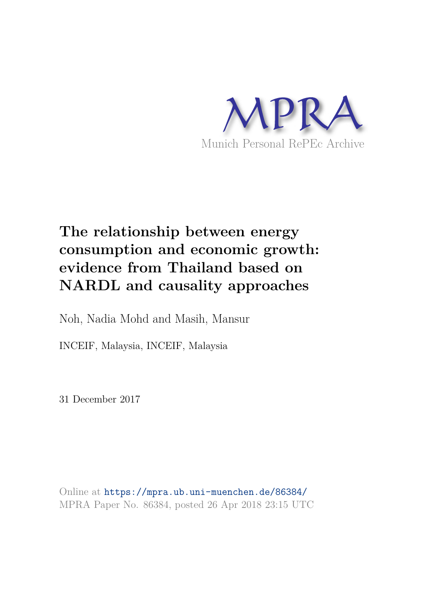

# **The relationship between energy consumption and economic growth: evidence from Thailand based on NARDL and causality approaches**

Noh, Nadia Mohd and Masih, Mansur

INCEIF, Malaysia, INCEIF, Malaysia

31 December 2017

Online at https://mpra.ub.uni-muenchen.de/86384/ MPRA Paper No. 86384, posted 26 Apr 2018 23:15 UTC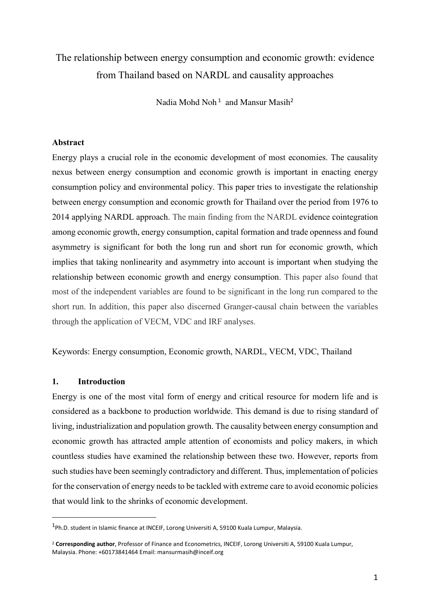## The relationship between energy consumption and economic growth: evidence from Thailand based on NARDL and causality approaches

Nadia Mohd Noh<sup>1</sup> and Mansur Masih<sup>2</sup>

## **Abstract**

Energy plays a crucial role in the economic development of most economies. The causality nexus between energy consumption and economic growth is important in enacting energy consumption policy and environmental policy. This paper tries to investigate the relationship between energy consumption and economic growth for Thailand over the period from 1976 to 2014 applying NARDL approach. The main finding from the NARDL evidence cointegration among economic growth, energy consumption, capital formation and trade openness and found asymmetry is significant for both the long run and short run for economic growth, which implies that taking nonlinearity and asymmetry into account is important when studying the relationship between economic growth and energy consumption. This paper also found that most of the independent variables are found to be significant in the long run compared to the short run. In addition, this paper also discerned Granger-causal chain between the variables through the application of VECM, VDC and IRF analyses.

Keywords: Energy consumption, Economic growth, NARDL, VECM, VDC, Thailand

## **1. Introduction**

 $\overline{a}$ 

Energy is one of the most vital form of energy and critical resource for modern life and is considered as a backbone to production worldwide. This demand is due to rising standard of living, industrialization and population growth. The causality between energy consumption and economic growth has attracted ample attention of economists and policy makers, in which countless studies have examined the relationship between these two. However, reports from such studies have been seemingly contradictory and different. Thus, implementation of policies for the conservation of energy needs to be tackled with extreme care to avoid economic policies that would link to the shrinks of economic development.

<sup>&</sup>lt;sup>1</sup>Ph.D. student in Islamic finance at INCEIF, Lorong Universiti A, 59100 Kuala Lumpur, Malaysia.

<sup>2</sup> **Corresponding author**, Professor of Finance and Econometrics, INCEIF, Lorong Universiti A, 59100 Kuala Lumpur, Malaysia. Phone: +60173841464 Email: mansurmasih@inceif.org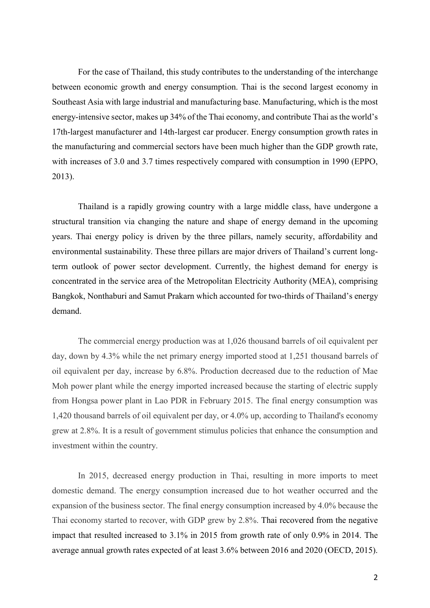For the case of Thailand, this study contributes to the understanding of the interchange between economic growth and energy consumption. Thai is the second largest economy in Southeast Asia with large industrial and manufacturing base. Manufacturing, which is the most energy-intensive sector, makes up 34% of the Thai economy, and contribute Thai as the world's 17th-largest manufacturer and 14th-largest car producer. Energy consumption growth rates in the manufacturing and commercial sectors have been much higher than the GDP growth rate, with increases of 3.0 and 3.7 times respectively compared with consumption in 1990 (EPPO, 2013).

Thailand is a rapidly growing country with a large middle class, have undergone a structural transition via changing the nature and shape of energy demand in the upcoming years. Thai energy policy is driven by the three pillars, namely security, affordability and environmental sustainability. These three pillars are major drivers of Thailand's current longterm outlook of power sector development. Currently, the highest demand for energy is concentrated in the service area of the Metropolitan Electricity Authority (MEA), comprising Bangkok, Nonthaburi and Samut Prakarn which accounted for two-thirds of Thailand's energy demand.

The commercial energy production was at 1,026 thousand barrels of oil equivalent per day, down by 4.3% while the net primary energy imported stood at 1,251 thousand barrels of oil equivalent per day, increase by 6.8%. Production decreased due to the reduction of Mae Moh power plant while the energy imported increased because the starting of electric supply from Hongsa power plant in Lao PDR in February 2015. The final energy consumption was 1,420 thousand barrels of oil equivalent per day, or 4.0% up, according to Thailand's economy grew at 2.8%. It is a result of government stimulus policies that enhance the consumption and investment within the country.

In 2015, decreased energy production in Thai, resulting in more imports to meet domestic demand. The energy consumption increased due to hot weather occurred and the expansion of the business sector. The final energy consumption increased by 4.0% because the Thai economy started to recover, with GDP grew by 2.8%. Thai recovered from the negative impact that resulted increased to 3.1% in 2015 from growth rate of only 0.9% in 2014. The average annual growth rates expected of at least 3.6% between 2016 and 2020 (OECD, 2015).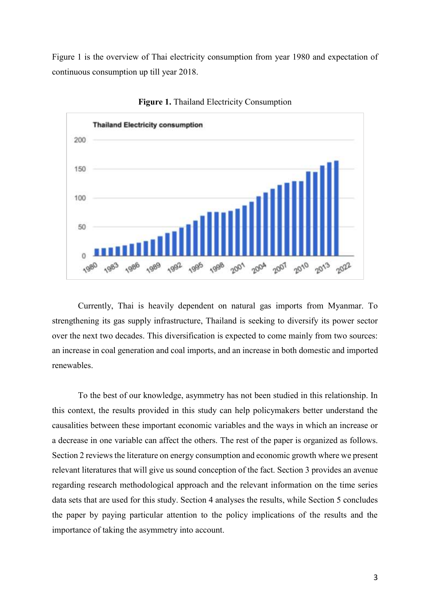Figure 1 is the overview of Thai electricity consumption from year 1980 and expectation of continuous consumption up till year 2018.



**Figure 1.** Thailand Electricity Consumption

Currently, Thai is heavily dependent on natural gas imports from Myanmar. To strengthening its gas supply infrastructure, Thailand is seeking to diversify its power sector over the next two decades. This diversification is expected to come mainly from two sources: an increase in coal generation and coal imports, and an increase in both domestic and imported renewables.

To the best of our knowledge, asymmetry has not been studied in this relationship. In this context, the results provided in this study can help policymakers better understand the causalities between these important economic variables and the ways in which an increase or a decrease in one variable can affect the others. The rest of the paper is organized as follows. Section 2 reviews the literature on energy consumption and economic growth where we present relevant literatures that will give us sound conception of the fact. Section 3 provides an avenue regarding research methodological approach and the relevant information on the time series data sets that are used for this study. Section 4 analyses the results, while Section 5 concludes the paper by paying particular attention to the policy implications of the results and the importance of taking the asymmetry into account.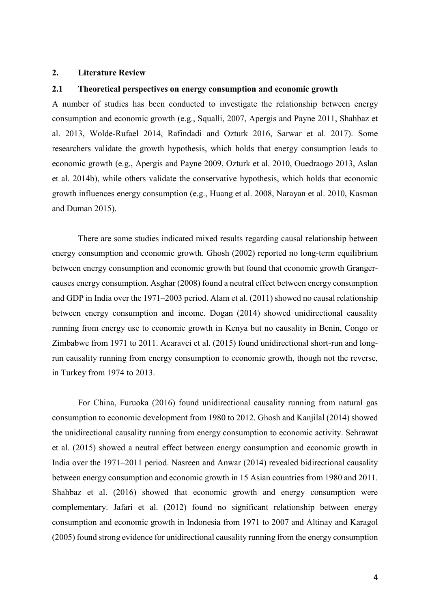## **2. Literature Review**

### **2.1 Theoretical perspectives on energy consumption and economic growth**

A number of studies has been conducted to investigate the relationship between energy consumption and economic growth (e.g., Squalli, 2007, Apergis and Payne 2011, Shahbaz et al. 2013, Wolde-Rufael 2014, Rafindadi and Ozturk 2016, Sarwar et al. 2017). Some researchers validate the growth hypothesis, which holds that energy consumption leads to economic growth (e.g., Apergis and Payne 2009, Ozturk et al. 2010, Ouedraogo 2013, Aslan et al. 2014b), while others validate the conservative hypothesis, which holds that economic growth influences energy consumption (e.g., Huang et al. 2008, Narayan et al. 2010, Kasman and Duman 2015).

There are some studies indicated mixed results regarding causal relationship between energy consumption and economic growth. Ghosh (2002) reported no long-term equilibrium between energy consumption and economic growth but found that economic growth Grangercauses energy consumption. Asghar (2008) found a neutral effect between energy consumption and GDP in India over the 1971–2003 period. Alam et al. (2011) showed no causal relationship between energy consumption and income. Dogan (2014) showed unidirectional causality running from energy use to economic growth in Kenya but no causality in Benin, Congo or Zimbabwe from 1971 to 2011. Acaravci et al. (2015) found unidirectional short-run and longrun causality running from energy consumption to economic growth, though not the reverse, in Turkey from 1974 to 2013.

For China, Furuoka (2016) found unidirectional causality running from natural gas consumption to economic development from 1980 to 2012. Ghosh and Kanjilal (2014) showed the unidirectional causality running from energy consumption to economic activity. Sehrawat et al. (2015) showed a neutral effect between energy consumption and economic growth in India over the 1971–2011 period. Nasreen and Anwar (2014) revealed bidirectional causality between energy consumption and economic growth in 15 Asian countries from 1980 and 2011. Shahbaz et al. (2016) showed that economic growth and energy consumption were complementary. Jafari et al. (2012) found no significant relationship between energy consumption and economic growth in Indonesia from 1971 to 2007 and Altinay and Karagol (2005) found strong evidence for unidirectional causality running from the energy consumption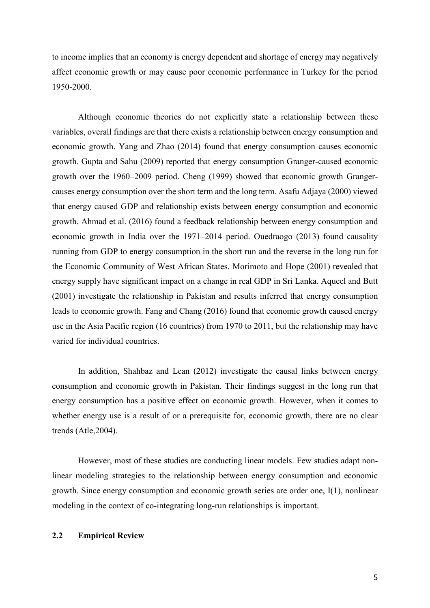to income implies that an economy is energy dependent and shortage of energy may negatively affect economic growth or may cause poor economic performance in Turkey for the period 1950-2000.

Although economic theories do not explicitly state a relationship between these variables, overall findings are that there exists a relationship between energy consumption and economic growth. Yang and Zhao (2014) found that energy consumption causes economic growth. Gupta and Sahu (2009) reported that energy consumption Granger-caused economic growth over the 1960–2009 period. Cheng (1999) showed that economic growth Grangercauses energy consumption over the short term and the long term. Asafu Adjaya (2000) viewed that energy caused GDP and relationship exists between energy consumption and economic growth. Ahmad et al. (2016) found a feedback relationship between energy consumption and economic growth in India over the 1971–2014 period. Ouedraogo (2013) found causality running from GDP to energy consumption in the short run and the reverse in the long run for the Economic Community of West African States. Morimoto and Hope (2001) revealed that energy supply have significant impact on a change in real GDP in Sri Lanka. Aqueel and Butt (2001) investigate the relationship in Pakistan and results inferred that energy consumption leads to economic growth. Fang and Chang (2016) found that economic growth caused energy use in the Asia Pacific region (16 countries) from 1970 to 2011, but the relationship may have varied for individual countries.

In addition, Shahbaz and Lean (2012) investigate the causal links between energy consumption and economic growth in Pakistan. Their findings suggest in the long run that energy consumption has a positive effect on economic growth. However, when it comes to whether energy use is a result of or a prerequisite for, economic growth, there are no clear trends (Atle,2004).

However, most of these studies are conducting linear models. Few studies adapt nonlinear modeling strategies to the relationship between energy consumption and economic growth. Since energy consumption and economic growth series are order one, I(1), nonlinear modeling in the context of co-integrating long-run relationships is important.

## **2.2 Empirical Review**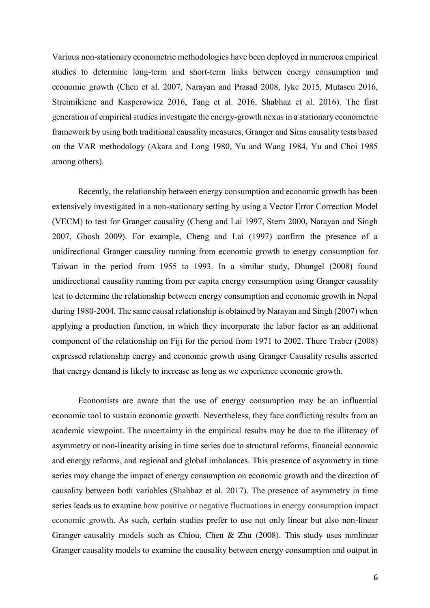Various non-stationary econometric methodologies have been deployed in numerous empirical studies to determine long-term and short-term links between energy consumption and economic growth (Chen et al. 2007, Narayan and Prasad 2008, Iyke 2015, Mutascu 2016, Streimikiene and Kasperowicz 2016, Tang et al. 2016, Shabhaz et al. 2016). The first generation of empirical studies investigate the energy-growth nexus in a stationary econometric framework by using both traditional causality measures, Granger and Sims causality tests based on the VAR methodology (Akara and Long 1980, Yu and Wang 1984, Yu and Choi 1985 among others).

Recently, the relationship between energy consumption and economic growth has been extensively investigated in a non-stationary setting by using a Vector Error Correction Model (VECM) to test for Granger causality (Cheng and Lai 1997, Stern 2000, Narayan and Singh 2007, Ghosh 2009). For example, Cheng and Lai (1997) confirm the presence of a unidirectional Granger causality running from economic growth to energy consumption for Taiwan in the period from 1955 to 1993. In a similar study, Dhungel (2008) found unidirectional causality running from per capita energy consumption using Granger causality test to determine the relationship between energy consumption and economic growth in Nepal during 1980-2004. The same causal relationship is obtained by Narayan and Singh (2007) when applying a production function, in which they incorporate the labor factor as an additional component of the relationship on Fiji for the period from 1971 to 2002. Thure Traber (2008) expressed relationship energy and economic growth using Granger Causality results asserted that energy demand is likely to increase as long as we experience economic growth.

Economists are aware that the use of energy consumption may be an influential economic tool to sustain economic growth. Nevertheless, they face conflicting results from an academic viewpoint. The uncertainty in the empirical results may be due to the illiteracy of asymmetry or non-linearity arising in time series due to structural reforms, financial economic and energy reforms, and regional and global imbalances. This presence of asymmetry in time series may change the impact of energy consumption on economic growth and the direction of causality between both variables (Shahbaz et al. 2017). The presence of asymmetry in time series leads us to examine how positive or negative fluctuations in energy consumption impact economic growth. As such, certain studies prefer to use not only linear but also non-linear Granger causality models such as Chiou, Chen & Zhu (2008). This study uses nonlinear Granger causality models to examine the causality between energy consumption and output in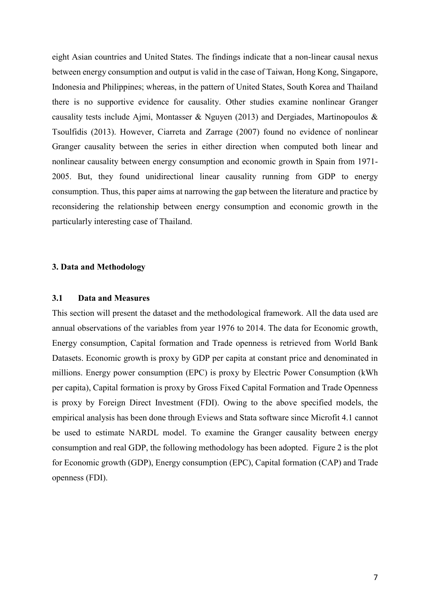eight Asian countries and United States. The findings indicate that a non-linear causal nexus between energy consumption and output is valid in the case of Taiwan, Hong Kong, Singapore, Indonesia and Philippines; whereas, in the pattern of United States, South Korea and Thailand there is no supportive evidence for causality. Other studies examine nonlinear Granger causality tests include Ajmi, Montasser & Nguyen (2013) and Dergiades, Martinopoulos & Tsoulfidis (2013). However, Ciarreta and Zarrage (2007) found no evidence of nonlinear Granger causality between the series in either direction when computed both linear and nonlinear causality between energy consumption and economic growth in Spain from 1971- 2005. But, they found unidirectional linear causality running from GDP to energy consumption. Thus, this paper aims at narrowing the gap between the literature and practice by reconsidering the relationship between energy consumption and economic growth in the particularly interesting case of Thailand.

## **3. Data and Methodology**

## **3.1 Data and Measures**

This section will present the dataset and the methodological framework. All the data used are annual observations of the variables from year 1976 to 2014. The data for Economic growth, Energy consumption, Capital formation and Trade openness is retrieved from World Bank Datasets. Economic growth is proxy by GDP per capita at constant price and denominated in millions. Energy power consumption (EPC) is proxy by Electric Power Consumption (kWh per capita), Capital formation is proxy by Gross Fixed Capital Formation and Trade Openness is proxy by Foreign Direct Investment (FDI). Owing to the above specified models, the empirical analysis has been done through Eviews and Stata software since Microfit 4.1 cannot be used to estimate NARDL model. To examine the Granger causality between energy consumption and real GDP, the following methodology has been adopted. Figure 2 is the plot for Economic growth (GDP), Energy consumption (EPC), Capital formation (CAP) and Trade openness (FDI).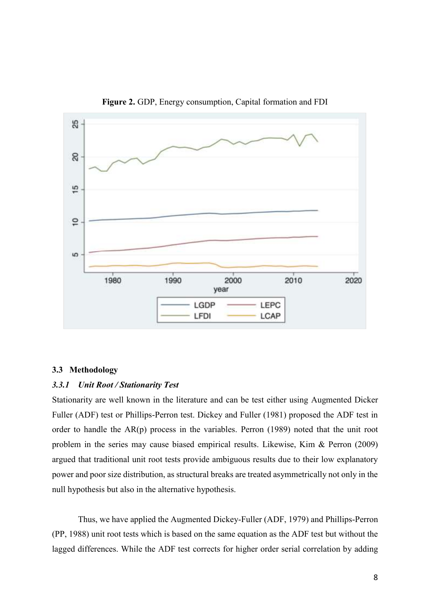

**Figure 2.** GDP, Energy consumption, Capital formation and FDI

## **3.3 Methodology**

## *3.3.1 Unit Root / Stationarity Test*

Stationarity are well known in the literature and can be test either using Augmented Dicker Fuller (ADF) test or Phillips-Perron test. Dickey and Fuller (1981) proposed the ADF test in order to handle the AR(p) process in the variables. Perron (1989) noted that the unit root problem in the series may cause biased empirical results. Likewise, Kim & Perron (2009) argued that traditional unit root tests provide ambiguous results due to their low explanatory power and poor size distribution, as structural breaks are treated asymmetrically not only in the null hypothesis but also in the alternative hypothesis.

Thus, we have applied the Augmented Dickey-Fuller (ADF, 1979) and Phillips-Perron (PP, 1988) unit root tests which is based on the same equation as the ADF test but without the lagged differences. While the ADF test corrects for higher order serial correlation by adding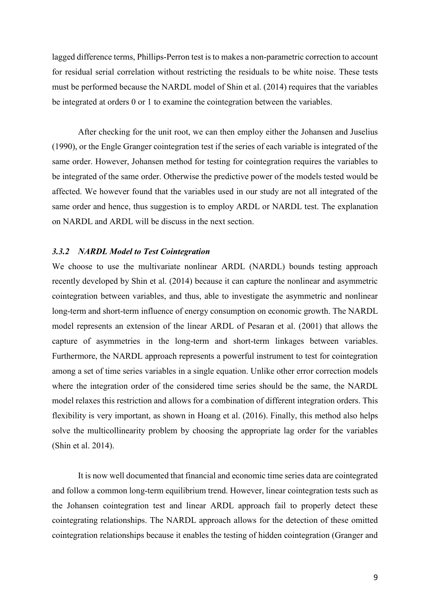lagged difference terms, Phillips-Perron test is to makes a non-parametric correction to account for residual serial correlation without restricting the residuals to be white noise. These tests must be performed because the NARDL model of Shin et al. (2014) requires that the variables be integrated at orders 0 or 1 to examine the cointegration between the variables.

After checking for the unit root, we can then employ either the Johansen and Juselius (1990), or the Engle Granger cointegration test if the series of each variable is integrated of the same order. However, Johansen method for testing for cointegration requires the variables to be integrated of the same order. Otherwise the predictive power of the models tested would be affected. We however found that the variables used in our study are not all integrated of the same order and hence, thus suggestion is to employ ARDL or NARDL test. The explanation on NARDL and ARDL will be discuss in the next section.

## *3.3.2 NARDL Model to Test Cointegration*

We choose to use the multivariate nonlinear ARDL (NARDL) bounds testing approach recently developed by Shin et al. (2014) because it can capture the nonlinear and asymmetric cointegration between variables, and thus, able to investigate the asymmetric and nonlinear long-term and short-term influence of energy consumption on economic growth. The NARDL model represents an extension of the linear ARDL of Pesaran et al. (2001) that allows the capture of asymmetries in the long-term and short-term linkages between variables. Furthermore, the NARDL approach represents a powerful instrument to test for cointegration among a set of time series variables in a single equation. Unlike other error correction models where the integration order of the considered time series should be the same, the NARDL model relaxes this restriction and allows for a combination of different integration orders. This flexibility is very important, as shown in Hoang et al. (2016). Finally, this method also helps solve the multicollinearity problem by choosing the appropriate lag order for the variables (Shin et al. 2014).

It is now well documented that financial and economic time series data are cointegrated and follow a common long-term equilibrium trend. However, linear cointegration tests such as the Johansen cointegration test and linear ARDL approach fail to properly detect these cointegrating relationships. The NARDL approach allows for the detection of these omitted cointegration relationships because it enables the testing of hidden cointegration (Granger and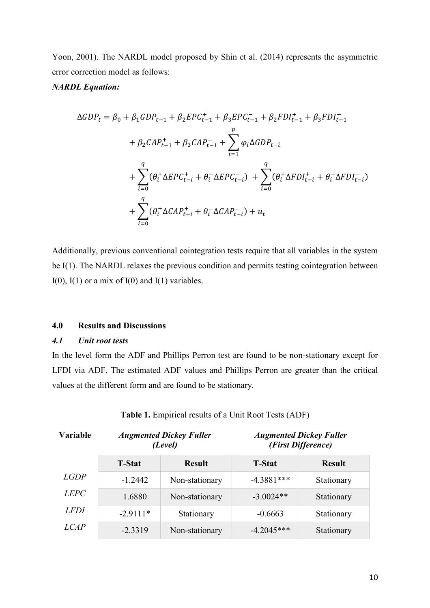Yoon, 2001). The NARDL model proposed by Shin et al. (2014) represents the asymmetric error correction model as follows:

## *NARDL Equation:*

$$
\Delta GDP_{t} = \beta_{0} + \beta_{1} GDP_{t-1} + \beta_{2} EPC_{t-1}^{+} + \beta_{3} EPC_{t-1}^{-} + \beta_{2} FDI_{t-1}^{+} + \beta_{3} FDI_{t-1}^{-}
$$
  
+  $\beta_{2} CAP_{t-1}^{+} + \beta_{3} CAP_{t-1}^{-} + \sum_{i=1}^{p} \varphi_{i} \Delta GDP_{t-i}$   
+  $\sum_{i=0}^{q} (\theta_{i}^{+} \Delta EPC_{t-i}^{+} + \theta_{i}^{-} \Delta EPC_{t-i}^{-}) + \sum_{i=0}^{q} (\theta_{i}^{+} \Delta FDI_{t-i}^{+} + \theta_{i}^{-} \Delta FDI_{t-i}^{-})$   
+  $\sum_{i=0}^{q} (\theta_{i}^{+} \Delta CAP_{t-i}^{+} + \theta_{i}^{-} \Delta CAP_{t-i}^{-}) + u_{t}$ 

Additionally, previous conventional cointegration tests require that all variables in the system be I(1). The NARDL relaxes the previous condition and permits testing cointegration between I(0), I(1) or a mix of I(0) and I(1) variables.

## **4.0 Results and Discussions**

## *4.1 Unit root tests*

In the level form the ADF and Phillips Perron test are found to be non-stationary except for LFDI via ADF. The estimated ADF values and Phillips Perron are greater than the critical values at the different form and are found to be stationary.

| <b>Variable</b> | <b>Augmented Dickey Fuller</b><br>(Level) |                | <b>Augmented Dickey Fuller</b><br>(First Difference) |               |  |
|-----------------|-------------------------------------------|----------------|------------------------------------------------------|---------------|--|
|                 | <b>T-Stat</b>                             | <b>Result</b>  | <b>T-Stat</b>                                        | <b>Result</b> |  |
| <i>LGDP</i>     | $-1.2442$                                 | Non-stationary | $-4.3881***$                                         | Stationary    |  |
| <i>LEPC</i>     | 1.6880                                    | Non-stationary | $-3.0024**$                                          | Stationary    |  |
| <i>LFDI</i>     | $-2.9111*$                                | Stationary     | $-0.6663$                                            | Stationary    |  |
| <i>LCAP</i>     | $-2.3319$                                 | Non-stationary | $-4.2045***$                                         | Stationary    |  |

**Table 1.** Empirical results of a Unit Root Tests (ADF)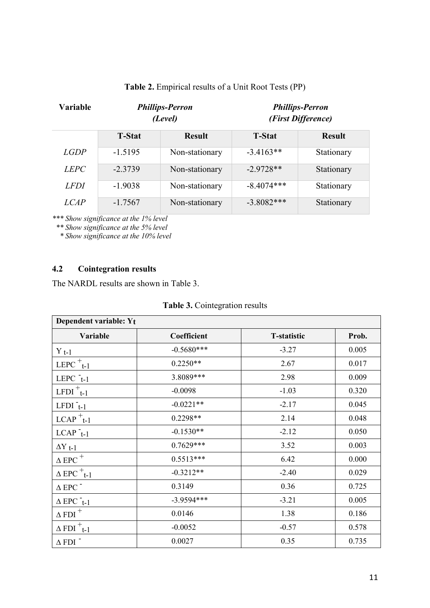| <b>Variable</b> | <b>Phillips-Perron</b><br>(Level) |                | <b>Phillips-Perron</b><br>(First Difference) |               |  |
|-----------------|-----------------------------------|----------------|----------------------------------------------|---------------|--|
|                 | <b>T-Stat</b>                     | <b>Result</b>  | <b>T-Stat</b>                                | <b>Result</b> |  |
| <i>LGDP</i>     | $-1.5195$                         | Non-stationary | $-3.4163**$                                  | Stationary    |  |
| <i>LEPC</i>     | $-2.3739$                         | Non-stationary | $-2.9728**$                                  | Stationary    |  |
| LFDI            | $-1.9038$                         | Non-stationary | $-8.4074***$                                 | Stationary    |  |
| <i>LCAP</i>     | $-1.7567$                         | Non-stationary | $-3.8082***$                                 | Stationary    |  |

## **Table 2.** Empirical results of a Unit Root Tests (PP)

*\*\*\* Show significance at the 1% level* 

 *\*\* Show significance at the 5% level* 

 *\* Show significance at the 10% level* 

## **4.2 Cointegration results**

The NARDL results are shown in Table 3.

|  | Table 3. Cointegration results |  |
|--|--------------------------------|--|
|--|--------------------------------|--|

| Dependent variable: Yt                     |              |                    |       |  |  |
|--------------------------------------------|--------------|--------------------|-------|--|--|
| Variable                                   | Coefficient  | <b>T-statistic</b> | Prob. |  |  |
| $Y_{t-1}$                                  | $-0.5680***$ | $-3.27$            | 0.005 |  |  |
| $LEPC$ <sup>+</sup> t-1                    | $0.2250**$   | 2.67               | 0.017 |  |  |
| $LEPC$ <sub>t-1</sub>                      | 3.8089***    | 2.98               | 0.009 |  |  |
| LFDI $_{t-1}$                              | $-0.0098$    | $-1.03$            | 0.320 |  |  |
| $LFDI$ <sub>t-1</sub>                      | $-0.0221**$  | $-2.17$            | 0.045 |  |  |
| $\overline{\text{LCAP}}^+$ <sub>t-1</sub>  | $0.2298**$   | 2.14               | 0.048 |  |  |
| $LCAP$ <sub>t-1</sub>                      | $-0.1530**$  | $-2.12$            | 0.050 |  |  |
| $\Delta \rm Y$ t-1                         | $0.7629***$  | 3.52               | 0.003 |  |  |
| $\Delta$ EPC $^+$                          | $0.5513***$  | 6.42               | 0.000 |  |  |
| $\Delta$ EPC $^+_{\phantom{0} \text{t-1}}$ | $-0.3212**$  | $-2.40$            | 0.029 |  |  |
| $\triangle$ EPC $\overline{\phantom{a}}$   | 0.3149       | 0.36               | 0.725 |  |  |
| $\triangle$ EPC $t-1$                      | $-3.9594***$ | $-3.21$            | 0.005 |  |  |
| $\Delta$ FDI <sup>+</sup>                  | 0.0146       | 1.38               | 0.186 |  |  |
| $\Delta$ FDI $^{+}$ <sub>t-1</sub>         | $-0.0052$    | $-0.57$            | 0.578 |  |  |
| $\triangle$ FDI $\bar{ }$                  | 0.0027       | 0.35               | 0.735 |  |  |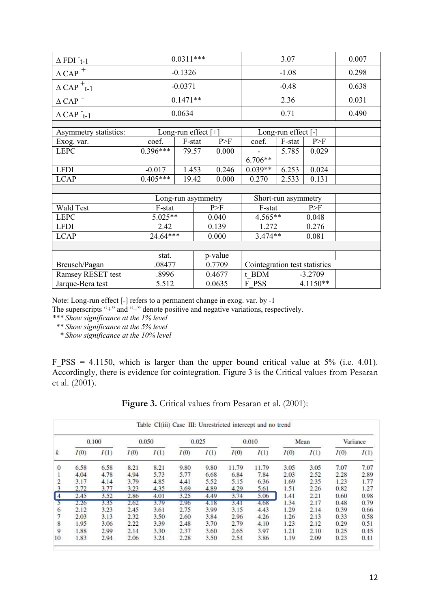| $\triangle$ FDI $\bar{t}$ -1     |                       | $0.0311***$ |  |           | 3.07      |                     |                               | 0.007 |  |
|----------------------------------|-----------------------|-------------|--|-----------|-----------|---------------------|-------------------------------|-------|--|
| $\Delta$ CAP $^+$                | $-0.1326$             |             |  |           | $-1.08$   |                     |                               | 0.298 |  |
| $\Delta$ CAP $^+$ <sub>t-1</sub> |                       | $-0.0371$   |  |           | $-0.48$   |                     |                               | 0.638 |  |
| $\Delta$ CAP $^-$                |                       | $0.1471**$  |  |           |           |                     | 0.031                         |       |  |
| $\triangle$ CAP $_{t-1}^-$       |                       | 0.0634      |  |           |           | 0.71                |                               |       |  |
|                                  |                       |             |  |           |           |                     |                               |       |  |
| Asymmetry statistics:            | Long-run effect $[+]$ |             |  |           |           | Long-run effect [-] |                               |       |  |
| Exog. var.                       | coef.                 | F-stat      |  | P>F       | coef.     | F-stat              | P>F                           |       |  |
| <b>LEPC</b>                      | $0.396***$            | 79.57       |  | 0.000     |           | 5.785               | 0.029                         |       |  |
|                                  |                       |             |  |           | $6.706**$ |                     |                               |       |  |
| <b>LFDI</b>                      | $-0.017$              | 1.453       |  | 0.246     | $0.039**$ | 6.253               | 0.024                         |       |  |
| <b>LCAP</b>                      | $0.405***$            | 19.42       |  | 0.000     | 0.270     | 2.533               | 0.131                         |       |  |
|                                  |                       |             |  |           |           |                     |                               |       |  |
|                                  | Long-run asymmetry    |             |  |           |           |                     | Short-run asymmetry           |       |  |
| Wald Test                        | F-stat                |             |  | P>F       | F-stat    |                     | P>F                           |       |  |
| <b>LEPC</b>                      | $5.025**$             |             |  | 0.040     | $4.565**$ |                     | 0.048                         |       |  |
| <b>LFDI</b>                      | 2.42                  |             |  | 0.139     | 1.272     |                     | 0.276                         |       |  |
| <b>LCAP</b>                      | 24.64***              | 0.000       |  | $3.474**$ |           | 0.081               |                               |       |  |
|                                  |                       |             |  |           |           |                     |                               |       |  |
|                                  | stat.                 |             |  | p-value   |           |                     |                               |       |  |
| Breusch/Pagan                    | .08477                |             |  | 0.7709    |           |                     | Cointegration test statistics |       |  |
| Ramsey RESET test                | .8996                 |             |  | 0.4677    | t BDM     |                     | $-3.2709$                     |       |  |
| Jarque-Bera test                 | 5.512                 |             |  | 0.0635    | F PSS     |                     | $4.1150**$                    |       |  |

Note: Long-run effect [-] refers to a permanent change in exog. var. by -1

The superscripts "+" and "−" denote positive and negative variations, respectively.

*\*\*\* Show significance at the 1% level* 

 *\*\* Show significance at the 5% level* 

 *\* Show significance at the 10% level* 

F PSS = 4.1150, which is larger than the upper bound critical value at 5% (i.e. 4.01). Accordingly, there is evidence for cointegration. Figure 3 is the Critical values from Pesaran et al. (2001).

Figure 3. Critical values from Pesaran et al. (2001):

|                  |      | 0.100 |      | 0.050 |      | 0.025 |       | 0.010 |      | Mean |      | Variance |
|------------------|------|-------|------|-------|------|-------|-------|-------|------|------|------|----------|
| $\boldsymbol{k}$ | I(0) | I(1)  | I(0) | I(1)  | I(0) | I(1)  | I(0)  | I(1)  | I(0) | I(1) | I(0) | I(1)     |
| $\bf{0}$         | 6.58 | 6.58  | 8.21 | 8.21  | 9.80 | 9.80  | 11.79 | 11.79 | 3.05 | 3.05 | 7.07 | 7.07     |
|                  | 4.04 | 4.78  | 4.94 | 5.73  | 5.77 | 6.68  | 6.84  | 7.84  | 2.03 | 2.52 | 2.28 | 2.89     |
| 2                | 3.17 | 4.14  | 3.79 | 4.85  | 4.41 | 5.52  | 5.15  | 6.36  | 1.69 | 2.35 | 1.23 | 1.77     |
| 3                | 2.72 | 3.77  | 3.23 | 4.35  | 3.69 | 4.89  | 4.29  | 5.61  | 1.51 | 2.26 | 0.82 | 1.27     |
| $\overline{4}$   | 2.45 | 3.52  | 2.86 | 4.01  | 3.25 | 4.49  | 3.74  | 5.06  | 1.41 | 2.21 | 0.60 | 0.98     |
| 5                | 2.26 | 3.35  | 2.62 | 3.79  | 2.96 | 4.18  | 3.41  | 4.68  | 1.34 | 2.17 | 0.48 | 0.79     |
| 6                | 2.12 | 3.23  | 2.45 | 3.61  | 2.75 | 3.99  | 3.15  | 4.43  | 1.29 | 2.14 | 0.39 | 0.66     |
|                  | 2.03 | 3.13  | 2.32 | 3.50  | 2.60 | 3.84  | 2.96  | 4.26  | 1.26 | 2.13 | 0.33 | 0.58     |
| 8                | 1.95 | 3.06  | 2.22 | 3.39  | 2.48 | 3.70  | 2.79  | 4.10  | 1.23 | 2.12 | 0.29 | 0.51     |
| 9                | 1.88 | 2.99  | 2.14 | 3.30  | 2.37 | 3.60  | 2.65  | 3.97  | 1.21 | 2.10 | 0.25 | 0.45     |
| 10               | 1.83 | 2.94  | 2.06 | 3.24  | 2.28 | 3.50  | 2.54  | 3.86  | 1.19 | 2.09 | 0.23 | 0.41     |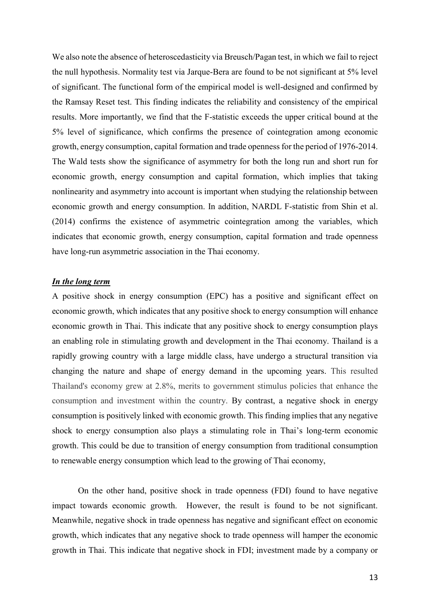We also note the absence of heteroscedasticity via Breusch/Pagan test, in which we fail to reject the null hypothesis. Normality test via Jarque-Bera are found to be not significant at 5% level of significant. The functional form of the empirical model is well-designed and confirmed by the Ramsay Reset test. This finding indicates the reliability and consistency of the empirical results. More importantly, we find that the F-statistic exceeds the upper critical bound at the 5% level of significance, which confirms the presence of cointegration among economic growth, energy consumption, capital formation and trade openness for the period of 1976-2014. The Wald tests show the significance of asymmetry for both the long run and short run for economic growth, energy consumption and capital formation, which implies that taking nonlinearity and asymmetry into account is important when studying the relationship between economic growth and energy consumption. In addition, NARDL F-statistic from Shin et al. (2014) confirms the existence of asymmetric cointegration among the variables, which indicates that economic growth, energy consumption, capital formation and trade openness have long-run asymmetric association in the Thai economy.

## *In the long term*

A positive shock in energy consumption (EPC) has a positive and significant effect on economic growth, which indicates that any positive shock to energy consumption will enhance economic growth in Thai. This indicate that any positive shock to energy consumption plays an enabling role in stimulating growth and development in the Thai economy. Thailand is a rapidly growing country with a large middle class, have undergo a structural transition via changing the nature and shape of energy demand in the upcoming years. This resulted Thailand's economy grew at 2.8%, merits to government stimulus policies that enhance the consumption and investment within the country. By contrast, a negative shock in energy consumption is positively linked with economic growth. This finding implies that any negative shock to energy consumption also plays a stimulating role in Thai's long-term economic growth. This could be due to transition of energy consumption from traditional consumption to renewable energy consumption which lead to the growing of Thai economy,

On the other hand, positive shock in trade openness (FDI) found to have negative impact towards economic growth. However, the result is found to be not significant. Meanwhile, negative shock in trade openness has negative and significant effect on economic growth, which indicates that any negative shock to trade openness will hamper the economic growth in Thai. This indicate that negative shock in FDI; investment made by a company or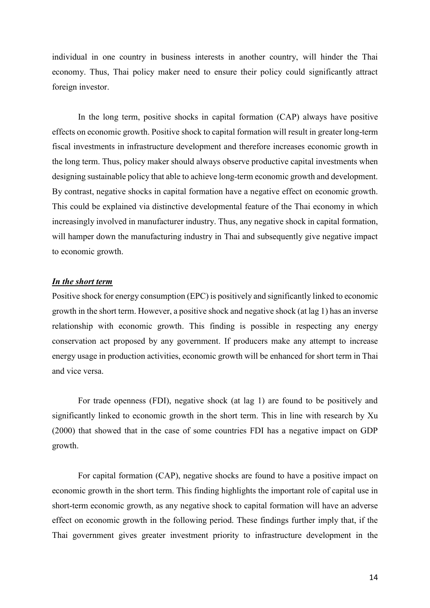individual in one country in business interests in another country, will hinder the Thai economy. Thus, Thai policy maker need to ensure their policy could significantly attract foreign investor.

In the long term, positive shocks in capital formation (CAP) always have positive effects on economic growth. Positive shock to capital formation will result in greater long-term fiscal investments in infrastructure development and therefore increases economic growth in the long term. Thus, policy maker should always observe productive capital investments when designing sustainable policy that able to achieve long-term economic growth and development. By contrast, negative shocks in capital formation have a negative effect on economic growth. This could be explained via distinctive developmental feature of the Thai economy in which increasingly involved in manufacturer industry. Thus, any negative shock in capital formation, will hamper down the manufacturing industry in Thai and subsequently give negative impact to economic growth.

## *In the short term*

Positive shock for energy consumption (EPC) is positively and significantly linked to economic growth in the short term. However, a positive shock and negative shock (at lag 1) has an inverse relationship with economic growth. This finding is possible in respecting any energy conservation act proposed by any government. If producers make any attempt to increase energy usage in production activities, economic growth will be enhanced for short term in Thai and vice versa.

For trade openness (FDI), negative shock (at lag 1) are found to be positively and significantly linked to economic growth in the short term. This in line with research by Xu (2000) that showed that in the case of some countries FDI has a negative impact on GDP growth.

For capital formation (CAP), negative shocks are found to have a positive impact on economic growth in the short term. This finding highlights the important role of capital use in short-term economic growth, as any negative shock to capital formation will have an adverse effect on economic growth in the following period. These findings further imply that, if the Thai government gives greater investment priority to infrastructure development in the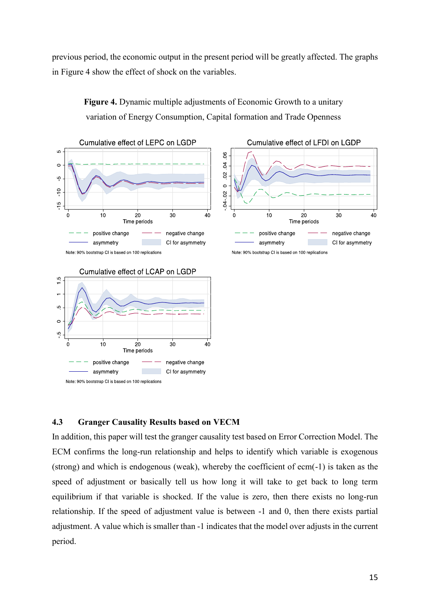previous period, the economic output in the present period will be greatly affected. The graphs in Figure 4 show the effect of shock on the variables.



**Figure 4.** Dynamic multiple adjustments of Economic Growth to a unitary variation of Energy Consumption, Capital formation and Trade Openness

## **4.3 Granger Causality Results based on VECM**

In addition, this paper will test the granger causality test based on Error Correction Model. The ECM confirms the long-run relationship and helps to identify which variable is exogenous (strong) and which is endogenous (weak), whereby the coefficient of ecm(-1) is taken as the speed of adjustment or basically tell us how long it will take to get back to long term equilibrium if that variable is shocked. If the value is zero, then there exists no long-run relationship. If the speed of adjustment value is between -1 and 0, then there exists partial adjustment. A value which is smaller than -1 indicates that the model over adjusts in the current period.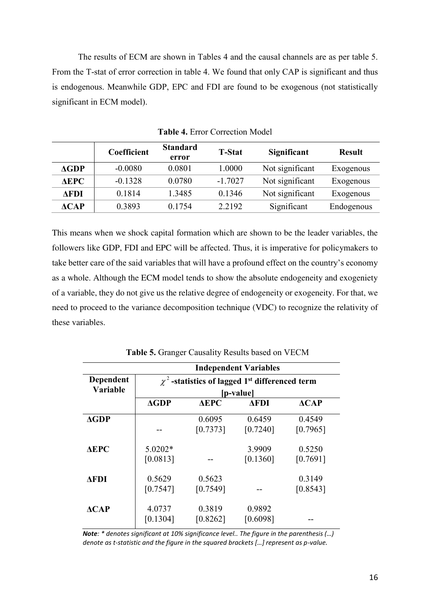The results of ECM are shown in Tables 4 and the causal channels are as per table 5. From the T-stat of error correction in table 4. We found that only CAP is significant and thus is endogenous. Meanwhile GDP, EPC and FDI are found to be exogenous (not statistically significant in ECM model).

|              | Coefficient | <b>Standard</b><br>error | <b>T-Stat</b> | Significant     | <b>Result</b> |
|--------------|-------------|--------------------------|---------------|-----------------|---------------|
| $\Delta GDP$ | $-0.0080$   | 0.0801                   | 1.0000        | Not significant | Exogenous     |
| $\Delta EPC$ | $-0.1328$   | 0.0780                   | $-1.7027$     | Not significant | Exogenous     |
| AFDI         | 0.1814      | 1.3485                   | 0.1346        | Not significant | Exogenous     |
| ACAP         | 0.3893      | 0.1754                   | 2.2192        | Significant     | Endogenous    |

**Table 4.** Error Correction Model

This means when we shock capital formation which are shown to be the leader variables, the followers like GDP, FDI and EPC will be affected. Thus, it is imperative for policymakers to take better care of the said variables that will have a profound effect on the country's economy as a whole. Although the ECM model tends to show the absolute endogeneity and exogeniety of a variable, they do not give us the relative degree of endogeneity or exogeneity. For that, we need to proceed to the variance decomposition technique (VDC) to recognize the relativity of these variables.

|                              | <b>Independent Variables</b>                                    |                 |          |                 |  |  |  |
|------------------------------|-----------------------------------------------------------------|-----------------|----------|-----------------|--|--|--|
| <b>Dependent</b><br>Variable | $\chi^2$ -statistics of lagged 1 <sup>st</sup> differenced term |                 |          |                 |  |  |  |
|                              | [p-value]                                                       |                 |          |                 |  |  |  |
|                              | $\triangle$ GDP                                                 | $\triangle$ EPC | AFDI     | $\triangle CAP$ |  |  |  |
| $\triangle GDP$              |                                                                 | 0.6095          | 0.6459   | 0.4549          |  |  |  |
|                              |                                                                 | [0.7373]        | [0.7240] | [0.7965]        |  |  |  |
| $\triangle$ <b>EPC</b>       | $5.0202*$                                                       |                 | 3.9909   | 0.5250          |  |  |  |
|                              | [0.0813]                                                        |                 | [0.1360] | [0.7691]        |  |  |  |
| <b>AFDI</b>                  | 0.5629                                                          | 0.5623          |          | 0.3149          |  |  |  |
|                              | [0.7547]                                                        | [0.7549]        |          | [0.8543]        |  |  |  |
| $\triangle CAP$              | 4.0737                                                          | 0.3819          | 0.9892   |                 |  |  |  |
|                              | [0.1304]                                                        | [0.8262]        | [0.6098] |                 |  |  |  |

**Table 5.** Granger Causality Results based on VECM

*Note: \* denotes significant at 10% significance level.. The figure in the parenthesis (…) denote as t-statistic and the figure in the squared brackets [...] represent as p-value.*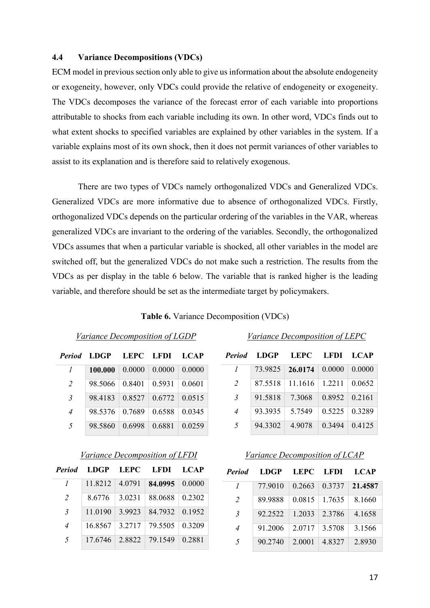## **4.4 Variance Decompositions (VDCs)**

ECM model in previous section only able to give us information about the absolute endogeneity or exogeneity, however, only VDCs could provide the relative of endogeneity or exogeneity. The VDCs decomposes the variance of the forecast error of each variable into proportions attributable to shocks from each variable including its own. In other word, VDCs finds out to what extent shocks to specified variables are explained by other variables in the system. If a variable explains most of its own shock, then it does not permit variances of other variables to assist to its explanation and is therefore said to relatively exogenous.

There are two types of VDCs namely orthogonalized VDCs and Generalized VDCs. Generalized VDCs are more informative due to absence of orthogonalized VDCs. Firstly, orthogonalized VDCs depends on the particular ordering of the variables in the VAR, whereas generalized VDCs are invariant to the ordering of the variables. Secondly, the orthogonalized VDCs assumes that when a particular variable is shocked, all other variables in the model are switched off, but the generalized VDCs do not make such a restriction. The results from the VDCs as per display in the table 6 below. The variable that is ranked higher is the leading variable, and therefore should be set as the intermediate target by policymakers.

## *Variance Decomposition of LGDP Variance Decomposition of LEPC*

|                  | <i>Period</i> LDGP LEPC LFDI LCAP |        |        |        |
|------------------|-----------------------------------|--------|--------|--------|
| $\boldsymbol{l}$ | 100.000                           | 0.0000 | 0.0000 | 0.0000 |
| 2                | 98.5066                           | 0.8401 | 0.5931 | 0.0601 |
| $\mathfrak{Z}$   | 98.4183                           | 0.8527 | 0.6772 | 0.0515 |
| $\overline{4}$   | 98.5376                           | 0.7689 | 0.6588 | 0.0345 |
| .5               | 98.5860                           | 0.6998 | 0.6881 | 0.0259 |

| Period         | <b>LDGP</b> | LEPC    | - LFDI | – LCAP |
|----------------|-------------|---------|--------|--------|
| 1              | 73.9825     | 26.0174 | 0.0000 | 0.0000 |
| 2              | 87.5518     | 11.1616 | 1.2211 | 0.0652 |
| 3              | 91.5818     | 7.3068  | 0.8952 | 0.2161 |
| $\overline{4}$ | 93.3935     | 5.7549  | 0.5225 | 0.3289 |
| .5             | 94.3302     | 4.9078  | 0.3494 | 0.4125 |

|                | Period LDGP LEPC LFDI |        |                  | <b>LCAP</b> |
|----------------|-----------------------|--------|------------------|-------------|
| $\prime$       | 11.8212   4.0791      |        | 84.0995 0.0000   |             |
| $\overline{2}$ | 8.6776                | 3.0231 | 88.0688   0.2302 |             |
| $\mathcal{E}$  | 11.0190               | 3.9923 | 84.7932 0.1952   |             |
| $\overline{A}$ | 16.8567               | 3.2717 | 79.5505          | 0.3209      |
| $\mathcal{F}$  | $17.6746$   2.8822    |        | 79.1549          | 0.2881      |

## *Variance Decomposition of LFDI Variance Decomposition of LCAP*

| <b>Period</b>  | <b>LDGP</b> | <b>LEPC</b> | <b>LFDI</b> | <b>LCAP</b> |
|----------------|-------------|-------------|-------------|-------------|
| 1              | 77.9010     | 0.2663      | 0.3737      | 21.4587     |
| $\overline{2}$ | 89.9888     | 0.0815      | 1.7635      | 8.1660      |
| 3              | 92.2522     | 1.2033      | 2.3786      | 4.1658      |
| 4              | 91.2006     | 2.0717      | 3.5708      | 3.1566      |
| 5              | 90.2740     | 2.0001      | 4.8327      | 2.8930      |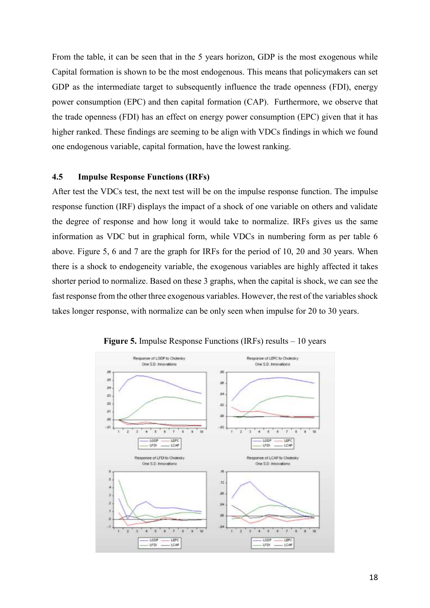From the table, it can be seen that in the 5 years horizon, GDP is the most exogenous while Capital formation is shown to be the most endogenous. This means that policymakers can set GDP as the intermediate target to subsequently influence the trade openness (FDI), energy power consumption (EPC) and then capital formation (CAP). Furthermore, we observe that the trade openness (FDI) has an effect on energy power consumption (EPC) given that it has higher ranked. These findings are seeming to be align with VDCs findings in which we found one endogenous variable, capital formation, have the lowest ranking.

## **4.5 Impulse Response Functions (IRFs)**

After test the VDCs test, the next test will be on the impulse response function. The impulse response function (IRF) displays the impact of a shock of one variable on others and validate the degree of response and how long it would take to normalize. IRFs gives us the same information as VDC but in graphical form, while VDCs in numbering form as per table 6 above. Figure 5, 6 and 7 are the graph for IRFs for the period of 10, 20 and 30 years. When there is a shock to endogeneity variable, the exogenous variables are highly affected it takes shorter period to normalize. Based on these 3 graphs, when the capital is shock, we can see the fast response from the other three exogenous variables. However, the rest of the variables shock takes longer response, with normalize can be only seen when impulse for 20 to 30 years.



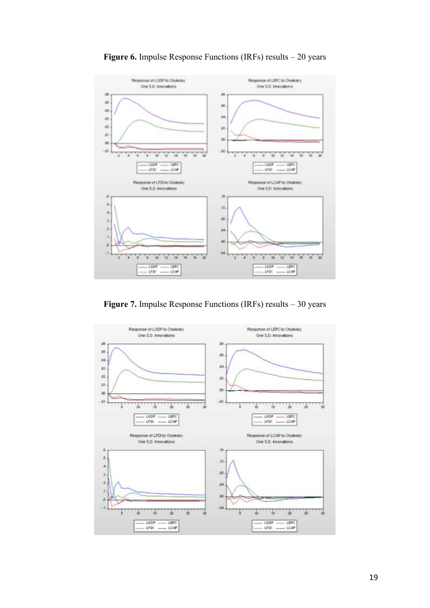

**Figure 6.** Impulse Response Functions (IRFs) results – 20 years

**Figure 7.** Impulse Response Functions (IRFs) results – 30 years

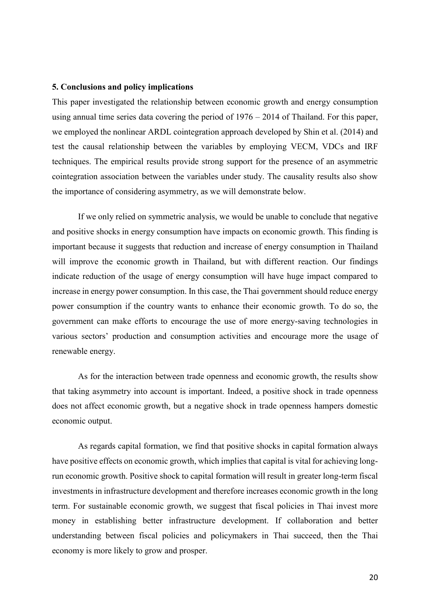#### **5. Conclusions and policy implications**

This paper investigated the relationship between economic growth and energy consumption using annual time series data covering the period of 1976 – 2014 of Thailand. For this paper, we employed the nonlinear ARDL cointegration approach developed by Shin et al. (2014) and test the causal relationship between the variables by employing VECM, VDCs and IRF techniques. The empirical results provide strong support for the presence of an asymmetric cointegration association between the variables under study. The causality results also show the importance of considering asymmetry, as we will demonstrate below.

If we only relied on symmetric analysis, we would be unable to conclude that negative and positive shocks in energy consumption have impacts on economic growth. This finding is important because it suggests that reduction and increase of energy consumption in Thailand will improve the economic growth in Thailand, but with different reaction. Our findings indicate reduction of the usage of energy consumption will have huge impact compared to increase in energy power consumption. In this case, the Thai government should reduce energy power consumption if the country wants to enhance their economic growth. To do so, the government can make efforts to encourage the use of more energy-saving technologies in various sectors' production and consumption activities and encourage more the usage of renewable energy.

As for the interaction between trade openness and economic growth, the results show that taking asymmetry into account is important. Indeed, a positive shock in trade openness does not affect economic growth, but a negative shock in trade openness hampers domestic economic output.

As regards capital formation, we find that positive shocks in capital formation always have positive effects on economic growth, which implies that capital is vital for achieving longrun economic growth. Positive shock to capital formation will result in greater long-term fiscal investments in infrastructure development and therefore increases economic growth in the long term. For sustainable economic growth, we suggest that fiscal policies in Thai invest more money in establishing better infrastructure development. If collaboration and better understanding between fiscal policies and policymakers in Thai succeed, then the Thai economy is more likely to grow and prosper.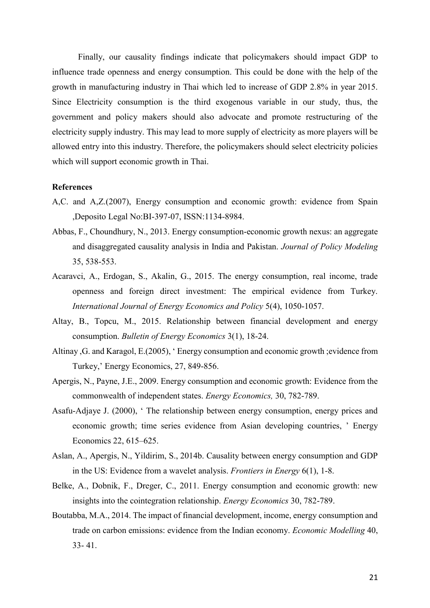Finally, our causality findings indicate that policymakers should impact GDP to influence trade openness and energy consumption. This could be done with the help of the growth in manufacturing industry in Thai which led to increase of GDP 2.8% in year 2015. Since Electricity consumption is the third exogenous variable in our study, thus, the government and policy makers should also advocate and promote restructuring of the electricity supply industry. This may lead to more supply of electricity as more players will be allowed entry into this industry. Therefore, the policymakers should select electricity policies which will support economic growth in Thai.

## **References**

- A,C. and A,Z.(2007), Energy consumption and economic growth: evidence from Spain ,Deposito Legal No:BI-397-07, ISSN:1134-8984.
- Abbas, F., Choundhury, N., 2013. Energy consumption-economic growth nexus: an aggregate and disaggregated causality analysis in India and Pakistan. *Journal of Policy Modeling*  35, 538-553.
- Acaravci, A., Erdogan, S., Akalin, G., 2015. The energy consumption, real income, trade openness and foreign direct investment: The empirical evidence from Turkey. *International Journal of Energy Economics and Policy* 5(4), 1050-1057.
- Altay, B., Topcu, M., 2015. Relationship between financial development and energy consumption. *Bulletin of Energy Economics* 3(1), 18-24.
- Altinay ,G. and Karagol, E.(2005), ' Energy consumption and economic growth ;evidence from Turkey,' Energy Economics, 27, 849-856.
- Apergis, N., Payne, J.E., 2009. Energy consumption and economic growth: Evidence from the commonwealth of independent states. *Energy Economics,* 30, 782-789.
- Asafu-Adjaye J. (2000), ' The relationship between energy consumption, energy prices and economic growth; time series evidence from Asian developing countries, ' Energy Economics 22, 615–625.
- Aslan, A., Apergis, N., Yildirim, S., 2014b. Causality between energy consumption and GDP in the US: Evidence from a wavelet analysis. *Frontiers in Energy* 6(1), 1-8.
- Belke, A., Dobnik, F., Dreger, C., 2011. Energy consumption and economic growth: new insights into the cointegration relationship. *Energy Economics* 30, 782-789.
- Boutabba, M.A., 2014. The impact of financial development, income, energy consumption and trade on carbon emissions: evidence from the Indian economy. *Economic Modelling* 40, 33- 41.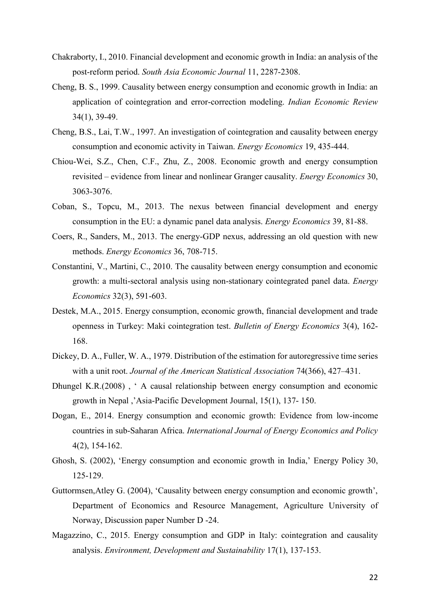- Chakraborty, I., 2010. Financial development and economic growth in India: an analysis of the post-reform period. *South Asia Economic Journal* 11, 2287-2308.
- Cheng, B. S., 1999. Causality between energy consumption and economic growth in India: an application of cointegration and error-correction modeling. *Indian Economic Review*  34(1), 39-49.
- Cheng, B.S., Lai, T.W., 1997. An investigation of cointegration and causality between energy consumption and economic activity in Taiwan. *Energy Economics* 19, 435-444.
- Chiou-Wei, S.Z., Chen, C.F., Zhu, Z., 2008. Economic growth and energy consumption revisited – evidence from linear and nonlinear Granger causality. *Energy Economics* 30, 3063-3076.
- Coban, S., Topcu, M., 2013. The nexus between financial development and energy consumption in the EU: a dynamic panel data analysis. *Energy Economics* 39, 81-88.
- Coers, R., Sanders, M., 2013. The energy-GDP nexus, addressing an old question with new methods. *Energy Economics* 36, 708-715.
- Constantini, V., Martini, C., 2010. The causality between energy consumption and economic growth: a multi-sectoral analysis using non-stationary cointegrated panel data. *Energy Economics* 32(3), 591-603.
- Destek, M.A., 2015. Energy consumption, economic growth, financial development and trade openness in Turkey: Maki cointegration test. *Bulletin of Energy Economics* 3(4), 162- 168.
- Dickey, D. A., Fuller, W. A., 1979. Distribution of the estimation for autoregressive time series with a unit root. *Journal of the American Statistical Association* 74(366), 427–431.
- Dhungel K.R.(2008) , ' A causal relationship between energy consumption and economic growth in Nepal ,'Asia-Pacific Development Journal, 15(1), 137- 150.
- Dogan, E., 2014. Energy consumption and economic growth: Evidence from low-income countries in sub-Saharan Africa. *International Journal of Energy Economics and Policy*  4(2), 154-162.
- Ghosh, S. (2002), 'Energy consumption and economic growth in India,' Energy Policy 30, 125-129.
- Guttormsen,Atley G. (2004), 'Causality between energy consumption and economic growth', Department of Economics and Resource Management, Agriculture University of Norway, Discussion paper Number D -24.
- Magazzino, C., 2015. Energy consumption and GDP in Italy: cointegration and causality analysis. *Environment, Development and Sustainability* 17(1), 137-153.